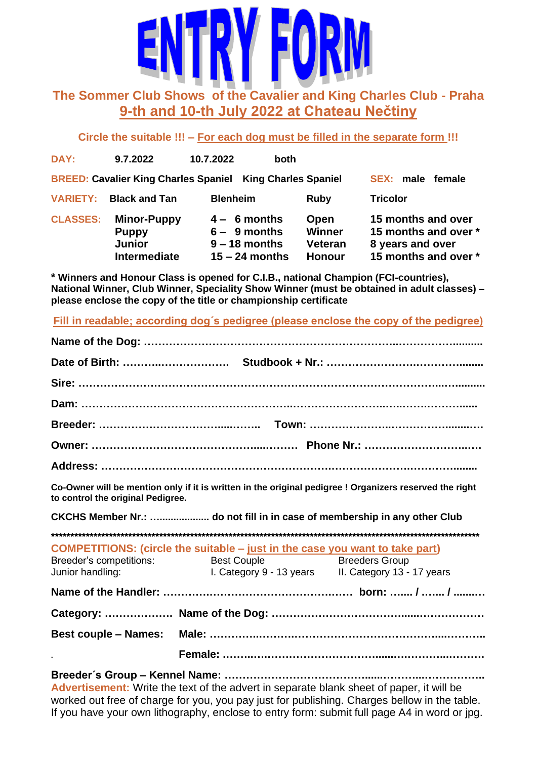

# **The Sommer Club Shows of the Cavalier and King Charles Club - Praha 9-th and 10-th July 2022 at Chateau Nečtiny**

**Circle the suitable !!! – For each dog must be filled in the separate form !!!**

| DAY:            | 9.7.2022                                                            | 10.7.2022<br><b>both</b>                                                |                                                   |                                                                                        |
|-----------------|---------------------------------------------------------------------|-------------------------------------------------------------------------|---------------------------------------------------|----------------------------------------------------------------------------------------|
|                 | <b>BREED: Cavalier King Charles Spaniel</b>                         | <b>King Charles Spaniel</b>                                             |                                                   | male<br><b>SEX:</b><br>female                                                          |
| <b>VARIETY:</b> | <b>Black and Tan</b>                                                | <b>Blenheim</b>                                                         | Ruby                                              | <b>Tricolor</b>                                                                        |
| <b>CLASSES:</b> | <b>Minor-Puppy</b><br><b>Puppy</b><br><b>Junior</b><br>Intermediate | $4 - 6$ months<br>$6 - 9$ months<br>$9 - 18$ months<br>$15 - 24$ months | Open<br><b>Winner</b><br>Veteran<br><b>Honour</b> | 15 months and over<br>15 months and over *<br>8 years and over<br>15 months and over * |

**\* Winners and Honour Class is opened for C.I.B., national Champion (FCI-countries), National Winner, Club Winner, Speciality Show Winner (must be obtained in adult classes) – please enclose the copy of the title or championship certificate** 

**Fill in readable; according dog´s pedigree (please enclose the copy of the pedigree)**

| to control the original Pedigree. | Co-Owner will be mention only if it is written in the original pedigree ! Organizers reserved the right                                   |                                                     |
|-----------------------------------|-------------------------------------------------------------------------------------------------------------------------------------------|-----------------------------------------------------|
|                                   | CKCHS Member Nr.:  do not fill in in case of membership in any other Club                                                                 |                                                     |
|                                   |                                                                                                                                           |                                                     |
| Junior handling:                  | <b>COMPETITIONS:</b> (circle the suitable - just in the case you want to take part)<br>Breeder's competitions: Best Couple Breeders Group | I. Category 9 - 13 years II. Category 13 - 17 years |
|                                   |                                                                                                                                           |                                                     |
|                                   |                                                                                                                                           |                                                     |
|                                   |                                                                                                                                           |                                                     |
|                                   |                                                                                                                                           |                                                     |
|                                   |                                                                                                                                           |                                                     |

**Advertisement:** Write the text of the advert in separate blank sheet of paper, it will be worked out free of charge for you, you pay just for publishing. Charges bellow in the table. If you have your own lithography, enclose to entry form: submit full page A4 in word or jpg.